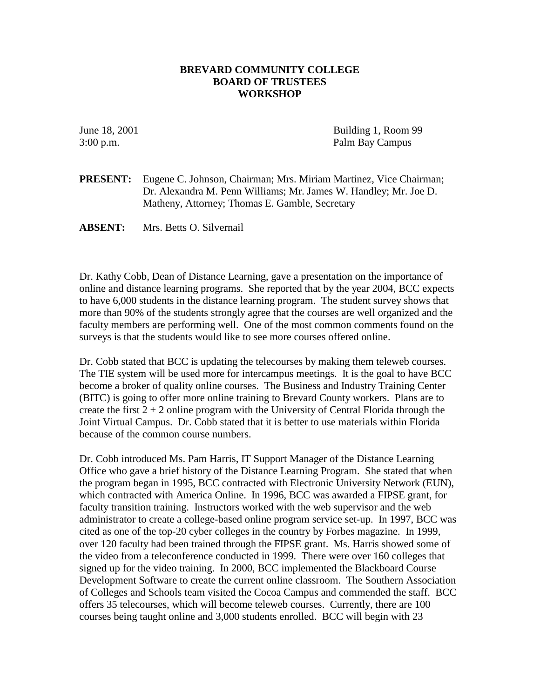## **BREVARD COMMUNITY COLLEGE BOARD OF TRUSTEES WORKSHOP**

June 18, 2001 Building 1, Room 99 3:00 p.m. Palm Bay Campus

**PRESENT:** Eugene C. Johnson, Chairman; Mrs. Miriam Martinez, Vice Chairman; Dr. Alexandra M. Penn Williams; Mr. James W. Handley; Mr. Joe D. Matheny, Attorney; Thomas E. Gamble, Secretary

**ABSENT:** Mrs. Betts O. Silvernail

Dr. Kathy Cobb, Dean of Distance Learning, gave a presentation on the importance of online and distance learning programs. She reported that by the year 2004, BCC expects to have 6,000 students in the distance learning program. The student survey shows that more than 90% of the students strongly agree that the courses are well organized and the faculty members are performing well. One of the most common comments found on the surveys is that the students would like to see more courses offered online.

Dr. Cobb stated that BCC is updating the telecourses by making them teleweb courses. The TIE system will be used more for intercampus meetings. It is the goal to have BCC become a broker of quality online courses. The Business and Industry Training Center (BITC) is going to offer more online training to Brevard County workers. Plans are to create the first  $2 + 2$  online program with the University of Central Florida through the Joint Virtual Campus. Dr. Cobb stated that it is better to use materials within Florida because of the common course numbers.

Dr. Cobb introduced Ms. Pam Harris, IT Support Manager of the Distance Learning Office who gave a brief history of the Distance Learning Program. She stated that when the program began in 1995, BCC contracted with Electronic University Network (EUN), which contracted with America Online. In 1996, BCC was awarded a FIPSE grant, for faculty transition training. Instructors worked with the web supervisor and the web administrator to create a college-based online program service set-up. In 1997, BCC was cited as one of the top-20 cyber colleges in the country by Forbes magazine. In 1999, over 120 faculty had been trained through the FIPSE grant. Ms. Harris showed some of the video from a teleconference conducted in 1999. There were over 160 colleges that signed up for the video training. In 2000, BCC implemented the Blackboard Course Development Software to create the current online classroom. The Southern Association of Colleges and Schools team visited the Cocoa Campus and commended the staff. BCC offers 35 telecourses, which will become teleweb courses. Currently, there are 100 courses being taught online and 3,000 students enrolled. BCC will begin with 23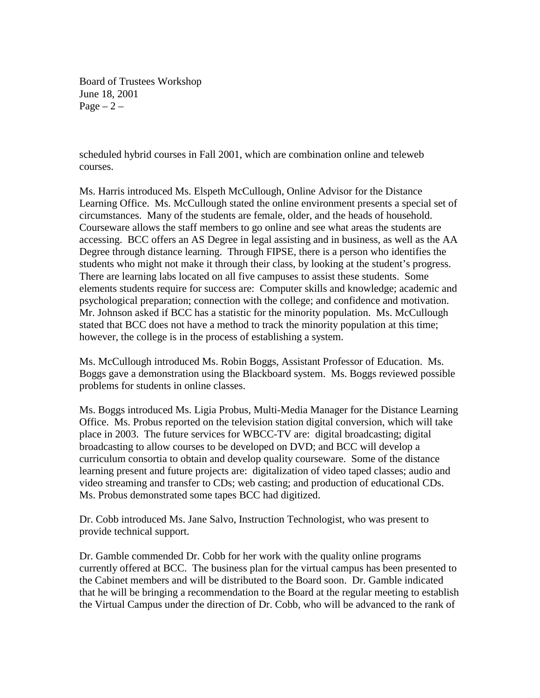Board of Trustees Workshop June 18, 2001 Page  $-2$  –

scheduled hybrid courses in Fall 2001, which are combination online and teleweb courses.

Ms. Harris introduced Ms. Elspeth McCullough, Online Advisor for the Distance Learning Office. Ms. McCullough stated the online environment presents a special set of circumstances. Many of the students are female, older, and the heads of household. Courseware allows the staff members to go online and see what areas the students are accessing. BCC offers an AS Degree in legal assisting and in business, as well as the AA Degree through distance learning. Through FIPSE, there is a person who identifies the students who might not make it through their class, by looking at the student's progress. There are learning labs located on all five campuses to assist these students. Some elements students require for success are: Computer skills and knowledge; academic and psychological preparation; connection with the college; and confidence and motivation. Mr. Johnson asked if BCC has a statistic for the minority population. Ms. McCullough stated that BCC does not have a method to track the minority population at this time; however, the college is in the process of establishing a system.

Ms. McCullough introduced Ms. Robin Boggs, Assistant Professor of Education. Ms. Boggs gave a demonstration using the Blackboard system. Ms. Boggs reviewed possible problems for students in online classes.

Ms. Boggs introduced Ms. Ligia Probus, Multi-Media Manager for the Distance Learning Office. Ms. Probus reported on the television station digital conversion, which will take place in 2003. The future services for WBCC-TV are: digital broadcasting; digital broadcasting to allow courses to be developed on DVD; and BCC will develop a curriculum consortia to obtain and develop quality courseware. Some of the distance learning present and future projects are: digitalization of video taped classes; audio and video streaming and transfer to CDs; web casting; and production of educational CDs. Ms. Probus demonstrated some tapes BCC had digitized.

Dr. Cobb introduced Ms. Jane Salvo, Instruction Technologist, who was present to provide technical support.

Dr. Gamble commended Dr. Cobb for her work with the quality online programs currently offered at BCC. The business plan for the virtual campus has been presented to the Cabinet members and will be distributed to the Board soon. Dr. Gamble indicated that he will be bringing a recommendation to the Board at the regular meeting to establish the Virtual Campus under the direction of Dr. Cobb, who will be advanced to the rank of